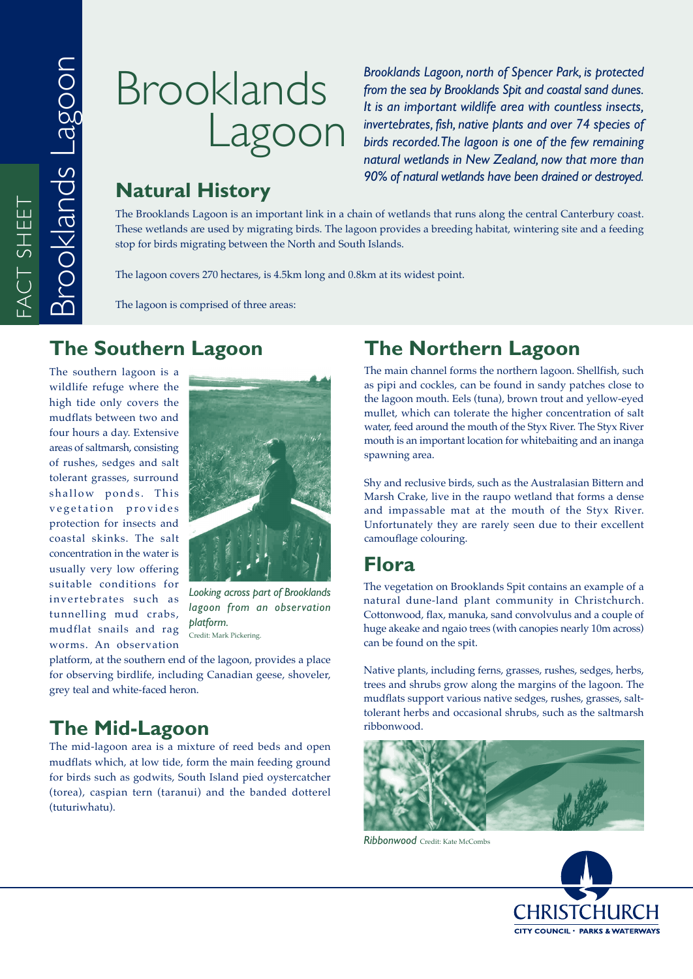# Brooklands Lagoon

*Brooklands Lagoon, north of Spencer Park, is protected from the sea by Brooklands Spit and coastal sand dunes. It is an important wildlife area with countless insects, invertebrates, fish, native plants and over 74 species of birds recorded. The lagoon is one of the few remaining natural wetlands in New Zealand, now that more than 90% of natural wetlands have been drained or destroyed.*

# **Natural History**

The Brooklands Lagoon is an important link in a chain of wetlands that runs along the central Canterbury coast. These wetlands are used by migrating birds. The lagoon provides a breeding habitat, wintering site and a feeding stop for birds migrating between the North and South Islands.

The lagoon covers 270 hectares, is 4.5km long and 0.8km at its widest point.

The lagoon is comprised of three areas:

### **The Southern Lagoon**

The southern lagoon is a wildlife refuge where the high tide only covers the mudflats between two and four hours a day. Extensive areas of saltmarsh, consisting of rushes, sedges and salt tolerant grasses, surround shallow ponds. This vegetation provides protection for insects and coastal skinks. The salt concentration in the water is usually very low offering suitable conditions for invertebrates such as tunnelling mud crabs, mudflat snails and rag worms. An observation



*Looking across part of Brooklands lagoon from an observation platform.* Credit: Mark Pickering.

platform, at the southern end of the lagoon, provides a place for observing birdlife, including Canadian geese, shoveler, grey teal and white-faced heron.

# **The Mid-Lagoon**

The mid-lagoon area is a mixture of reed beds and open mudflats which, at low tide, form the main feeding ground for birds such as godwits, South Island pied oystercatcher (torea), caspian tern (taranui) and the banded dotterel (tuturiwhatu).

# **The Northern Lagoon**

The main channel forms the northern lagoon. Shellfish, such as pipi and cockles, can be found in sandy patches close to the lagoon mouth. Eels (tuna), brown trout and yellow-eyed mullet, which can tolerate the higher concentration of salt water, feed around the mouth of the Styx River. The Styx River mouth is an important location for whitebaiting and an inanga spawning area.

Shy and reclusive birds, such as the Australasian Bittern and Marsh Crake, live in the raupo wetland that forms a dense and impassable mat at the mouth of the Styx River. Unfortunately they are rarely seen due to their excellent camouflage colouring.

## **Flora**

The vegetation on Brooklands Spit contains an example of a natural dune-land plant community in Christchurch. Cottonwood, flax, manuka, sand convolvulus and a couple of huge akeake and ngaio trees (with canopies nearly 10m across) can be found on the spit.

Native plants, including ferns, grasses, rushes, sedges, herbs, trees and shrubs grow along the margins of the lagoon. The mudflats support various native sedges, rushes, grasses, salttolerant herbs and occasional shrubs, such as the saltmarsh ribbonwood.



*Ribbonwood* Credit: Kate McCombs